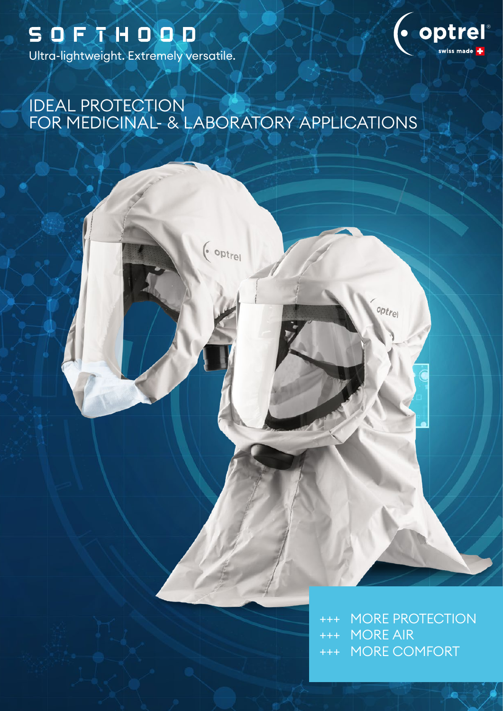Ultra-lightweight. Extremely versatile.



# IDEAL PROTECTION FOR MEDICINAL- & LABORATORY APPLICATIONS



+++ MORE PROTECTION +++ MORE AIR +++ MORE COMFORT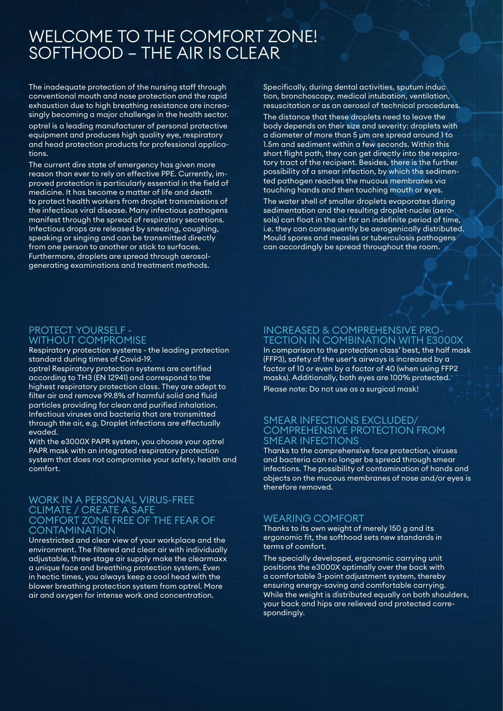# WELCOME TO THE COMFORT ZONE! SOFTHOOD – THE AIR IS CLEAR

The inadequate protection of the nursing staff through conventional mouth and nose protection and the rapid exhaustion due to high breathing resistance are increasingly becoming a major challenge in the health sector.

optrel is a leading manufacturer of personal protective equipment and produces high quality eye, respiratory and head protection products for professional applications.

The current dire state of emergency has given more reason than ever to rely on effective PPE. Currently, improved protection is particularly essential in the field of medicine. It has become a matter of life and death to protect health workers from droplet transmissions of the infectious viral disease. Many infectious pathogens manifest through the spread of respiratory secretions. Infectious drops are released by sneezing, coughing, speaking or singing and can be transmitted directly from one person to another or stick to surfaces. Furthermore, droplets are spread through aerosolgenerating examinations and treatment methods.

Specifically, during dental activities, sputum induc tion, bronchoscopy, medical intubation, ventilation, resuscitation or as an aerosol of technical procedures.

The distance that these droplets need to leave the body depends on their size and severity: droplets with a diameter of more than 5 μm are spread around 1 to 1.5m and sediment within a few seconds. Within this short flight path, they can get directly into the respiratory tract of the recipient. Besides, there is the further possibility of a smear infection, by which the sedimented pathogen reaches the mucous membranes via touching hands and then touching mouth or eyes.

The water shell of smaller droplets evaporates during sedimentation and the resulting droplet-nuclei (aerosols) can float in the air for an indefinite period of time, i.e. they can consequently be aerogenically distributed. Mould spores and measles or tuberculosis pathogens can accordingly be spread throughout the room.

## PROTECT YOURSELF - WITHOUT COMPROMISE

Respiratory protection systems - the leading protection standard during times of Covid-19.

optrel Respiratory protection systems are certified according to TH3 (EN 12941) and correspond to the highest respiratory protection class. They are adept to filter air and remove 99.8% of harmful solid and fluid particles providing for clean and purified inhalation. Infectious viruses and bacteria that are transmitted through the air, e.g. Droplet infections are effectually evaded.

With the e3000X PAPR system, you choose your optrel PAPR mask with an integrated respiratory protection system that does not compromise your safety, health and comfort.

#### WORK IN A PERSONAL VIRUS-FREE CLIMATE / CREATE A SAFE COMFORT ZONE FREE OF THE FEAR OF **CONTAMINATION**

Unrestricted and clear view of your workplace and the environment. The filtered and clear air with individually adjustable, three-stage air supply make the clearmaxx a unique face and breathing protection system. Even in hectic times, you always keep a cool head with the blower breathing protection system from optrel. More air and oxygen for intense work and concentration.

## INCREASED & COMPREHENSIVE PRO-TECTION IN COMBINATION WITH E3000X

In comparison to the protection class' best, the half mask (FFP3), safety of the user's airways is increased by a factor of 10 or even by a factor of 40 (when using FFP2 masks). Additionally, both eyes are 100% protected. Please note: Do not use as a surgical mask!

## SMEAR INFECTIONS EXCLUDED/ COMPREHENSIVE PROTECTION FROM SMEAR INFECTIONS

Thanks to the comprehensive face protection, viruses and bacteria can no longer be spread through smear infections. The possibility of contamination of hands and objects on the mucous membranes of nose and/or eyes is therefore removed.

## WEARING COMFORT

Thanks to its own weight of merely 150 g and its ergonomic fit, the softhood sets new standards in terms of comfort.

The specially developed, ergonomic carrying unit positions the e3000X optimally over the back with a comfortable 3-point adjustment system, thereby ensuring energy-saving and comfortable carrying. While the weight is distributed equally on both shoulders, your back and hips are relieved and protected correspondingly.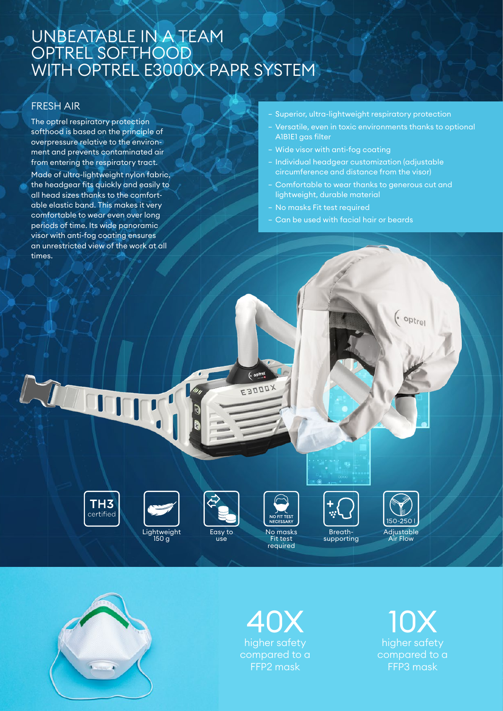# UNBEATABLE IN A TEAM OPTREL SOFTHOOD WITH OPTREL E3000X PAPR SYSTEM

## FRESH AIR

The optrel respiratory protection softhood is based on the principle of overpressure relative to the environment and prevents contaminated air from entering the respiratory tract. Made of ultra-lightweight nylon fabric, the headgear fits quickly and easily to all head sizes thanks to the comfortable elastic band. This makes it very comfortable to wear even over long periods of time. Its wide panoramic visor with anti-fog coating ensures an unrestricted view of the work at all times.

#### − Superior, ultra-lightweight respiratory protection

- − Versatile, even in toxic environments thanks to optional A1B1E1 gas filter
- − Wide visor with anti-fog coating
- − Individual headgear customization (adjustable circumference and distance from the visor)
- − Comfortable to wear thanks to generous cut and lightweight, durable material
- − No masks Fit test required
- − Can be used with facial hair or beards



Lin



150 g





 $\overline{(\cdot \text{ optrel}})$ ESOODX

> No masks Fit test required



150-250 Adjustable Air Flow

 $\left( \cdot$  optrel



# higher safety compared to a FFP2 mask 40X